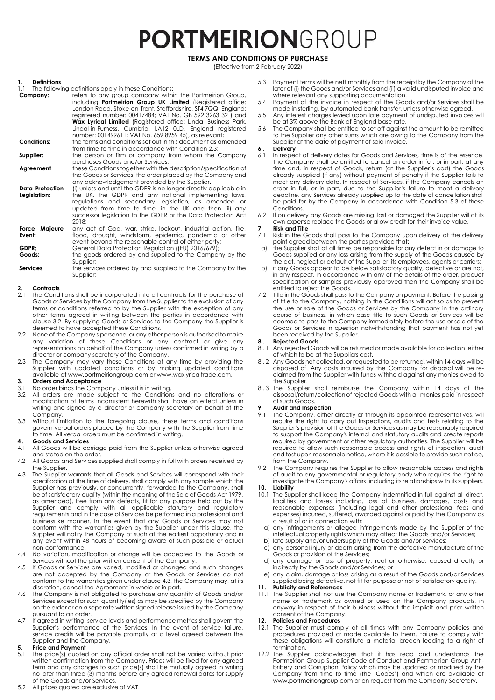## **PORTMEIRION**GROUP

**TERMS AND CONDITIONS OF PURCHASE**

(Effective from 2 February 2022)

## **1. Definitions**

1.1 The following definitions apply in these Conditions:<br>**Company:** efers to any group company withing refers to any group company within the Portmeirion Group, including **Portmeirion Group UK Limited** (Registered office: London Road, Stoke-on-Trent, Staffordshire, ST4 7QQ, England; registered number: 00417484; VAT No. GB 592 3263 32 ) and **Wax Lyrical Limited** (Registered office: Lindal Business Park, Lindal-in-Furness, Cumbria, LA12 0LD, England registered number: 001499611; VAT No. 659 8959 45), as relevant; **Conditions:** the terms and conditions set out in this document as amended from time to time in accordance with Condition 2.3; **Supplier:** the person or firm or company from whom the Company purchases Goods and/or Services;

Agreement these Conditions together with the description/specification of the Goods or Services, the order placed by the Company and any acknowledgement provided by the Supplier.

**Data Protection Legislation:** (i) unless and until the GDPR is no longer directly applicable in the UK, the GDPR and any national implementing laws, regulations and secondary legislation, as amended or updated from time to time, in the UK and then (ii) any successor legislation to the GDPR or the Data Protection Act 2018;

**Force Majeure Event:** any act of God, war, strike, lockout, industrial action, fire, flood, drought, windstorm, epidemic, pandemic or other event beyond the reasonable control of either party;

**GDPR;** General Data Protection Regulation ((EU) 2016/679); **Goods:** the goods ordered by and supplied to the Company by the Supplier;

**Services** the services ordered by and supplied to the Company by the Supplier;

## **2. Contracts**

- 2.1 The Conditions shall be incorporated into all contracts for the purchase of Goods or Services by the Company from the Supplier to the exclusion of any terms or conditions referred to by the Supplier with the exception of any other terms agreed in writing between the parties in accordance with clause 3.2. By supplying Goods or Services to the Company the Supplier is deemed to have accepted these Conditions.
- 2.2 None of the Company's personnel or any other person is authorised to make any variation of these Conditions or any contract or give any representations on behalf of the Company unless confirmed in writing by a director or company secretary of the Company.
- 2.3 The Company may vary these Conditions at any time by providing the Supplier with updated conditions or by making updated conditions available at www.portmeiriongroup.com or www.waxlyricaltrade.com.

## **3. Orders and Acceptance**

- 3.1 No order binds the Company unless it is in writing.<br>3.2 All orders are made subject to the Condition
- All orders are made subject to the Conditions and no alterations or modification of terms inconsistent herewith shall have an effect unless in writing and signed by a director or company secretary on behalf of the **Company**
- 3.3 Without limitation to the foregoing clause, these terms and conditions govern verbal orders placed by the Company with the Supplier from time to time. All verbal orders must be confirmed in writing.

## **4 . Goods and Services**

- All Goods will be carriage paid from the Supplier unless otherwise agreed and stated on the order.
- 4.2 All Goods and Services supplied shall comply in full with orders received by the Supplier.
- 4.3 The Supplier warrants that all Goods and Services will correspond with their specification at the time of delivery, shall comply with any sample which the Supplier has previously, or concurrently, forwarded to the Company, shall be of satisfactory quality (within the meaning of the Sale of Goods Act 1979, as amended), free from any defects, fit for any purpose held out by the Supplier and comply with all applicable statutory and regulatory requirements and in the case of Services be performed in a professional and businesslike manner. In the event that any Goods or Services may not conform with the warranties given by the Supplier under this clause, the Supplier will notify the Company of such at the earliest opportunity and in any event within 48 hours of becoming aware of such possible or actual non-conformance.
- 4.4 No variation, modification or change will be accepted to the Goods or Services without the prior written consent of the Company.
- 4.5 If Goods or Services are varied, modified or changed and such changes are not accepted by the Company or the Goods or Services do not conform to the warranties given under clause 4.3, the Company may, at its discretion, cancel the Agreement in whole or in part.
- 4.6 The Company is not obligated to purchase any quantity of Goods and/or Services except for such quantity(ies) as may be specified by the Company on the order or on a separate written signed release issued by the Company pursuant to an order.
- 4.7 If agreed in writing, service levels and performance metrics shall govern the Supplier's performance of the Services. In the event of service failure, service credits will be payable promptly at a level agreed between the Supplier and the Company.

#### **5. Price and Payment**

- 5.1 The price(s) quoted on any official order shall not be varied without prior written confirmation from the Company. Prices will be fixed for any agreed term and any changes to such price(s) shall be mutually agreed in writing no later than three (3) months before any agreed renewal dates for supply of the Goods and/or Services.
- 5.2 All prices quoted are exclusive of VAT.
- 5.3 Payment terms will be nett monthly from the receipt by the Company of the later of (i) the Goods and/or Services and (ii) a valid undisputed invoice and where relevant any supporting documentation.
- 5.4 Payment of the invoice in respect of the Goods and/or Services shall be made in sterling, by automated bank transfer, unless otherwise agreed. 5.5 Any interest charges levied upon late payment of undisputed invoices will
- be at 3% above the Bank of England base rate. 5.6 The Company shall be entitled to set off against the amount to be remitted
- to the Supplier any other sums which are owing to the Company from the Supplier at the date of payment of said invoice.

#### **6 . Delivery**

- In respect of delivery dates for Goods and Services, time is of the essence. The Company shall be entitled to cancel an order in full, or in part, at any time and, in respect of Goods, return (at the Supplier's cost) the Goods already supplied (if any) without payment of penalty if the Supplier fails to meet any delivery date. In respect of Services, if the Company cancels an order in full, or in part, due to the Supplier's failure to meet a delivery deadline, any Services already supplied up to the date of cancellation shall be paid for by the Company in accordance with Condition 5.3 of these **Conditions**
- 6.2 If on delivery any Goods are missing, lost or damaged the Supplier will at its own expense replace the Goods or allow credit for their invoice value.

#### **7. Risk and Title**

- Risk in the Goods shall pass to the Company upon delivery at the delivery point agreed between the parties provided that:
- a) the Supplier shall at all times be responsible for any defect in or damage to Goods supplied or any loss arising from the supply of the Goods caused by the act, neglect or default of the Supplier, its employees, agents or carriers;
- b) if any Goods appear to be below satisfactory quality, defective or are not, in any respect, in accordance with any of the details of the order, product specification or samples previously approved then the Company shall be entitled to reject the Goods.
- 7.2 Title in the Goods shall pass to the Company on payment. Before the passing of title to the Company, nothing in the Conditions will act so as to prevent the use or sale of the Goods or Services by the Company in the ordinary course of business, in which case title to such Goods or Services will be deemed to pass to the Company immediately before the use or sale of the Goods or Services in question notwithstanding that payment has not yet been received by the Supplier.

## **8 . Rejected Goods**

- Any rejected Goods will be returned or made available for collection, either of which to be at the Suppliers cost.
- 8.2 Any Goods not collected, or requested to be returned, within 14 days will be disposed of. Any costs incurred by the Company for disposal will be reclaimed from the Supplier with funds withheld against any monies owed to the Supplier.
- 8.3 The Supplier shall reimburse the Company within 14 days of the disposal/return/collectionof rejected Goods with all monies paid in respect of such Goods.

## **9. Audit and Inspection**<br>**9.1** The Company, either

- The Company, either directly or through its appointed representatives, will require the right to carry out inspections, audits and tests relating to the Supplier's provision of the Goods or Services as may be reasonably required to support the Company's internal and statutory audits and create reports required by government or other regulatory authorities. The Supplier will be required to allow such reasonable access and rights of inspection, audit and test upon reasonable notice, where it is possible to provide such notice, from the Company.
- 9.2 The Company requires the Supplier to allow reasonable access and rights of audit to any governmental or regulatory body who requires the right to investigate the Company's affairs, including its relationships with its suppliers.

## 10. Liability<br>10.1 The Sup

- The Supplier shall keep the Company indemnified in full against all direct, liabilities and losses including, loss of business, damages, costs and reasonable expenses (including legal and other professional fees and expenses) incurred, suffered, awarded against or paid by the Company as a result of or in connection with:
- a) any infringements or alleged infringements made by the Supplier of the intellectual property rights which may affect the Goods and/or Services;
- b) late supply and/or undersupply of the Goods and/or Services;
- any personal injury or death arising from the defective manufacture of the Goods or provision of the Services;
- d) any damage or loss of property, real or otherwise, caused directly or indirectly by the Goods and/or Services; or
- e) any claim, damage or loss arising as a result of the Goods and/or Services supplied being defective, not fit for purpose or not of satisfactory quality.

#### **11. Publicity and References**

11.1 The Supplier shall not use the Company name or trademark, or any other name or trademark as owned or used on the Company products, in anyway in respect of their business without the implicit and prior written consent of the Company.

## **12. Policies and Procedures**

- The Supplier must comply at all times with any Company policies and procedures provided or made available to them. Failure to comply with these obligations will constitute a material breach leading to a right of termination.
- 12.2 The Supplier acknowledges that it has read and understands the Portmeirion Group Supplier Code of Conduct and Portmeirion Group Antibribery and Corruption Policy which may be updated or modified by the Company from time to time (the 'Codes') and which are available at www.portmeiriongroup.com or on request from the Company Secretary.